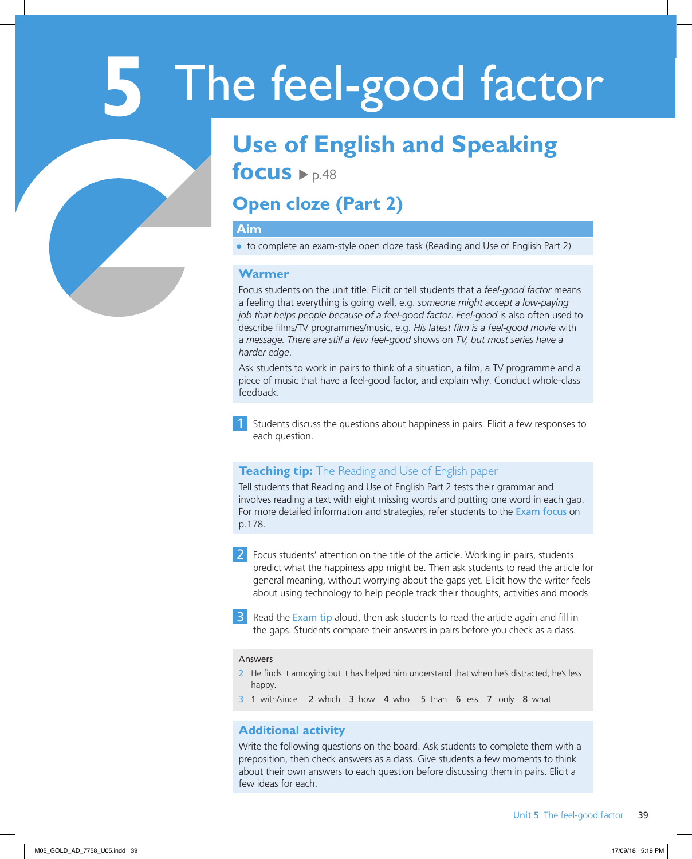# **5** The feel-good factor

## **Use of English and Speaking**

focus  $\rho_{\text{p.48}}$ 

### **Open cloze (Part 2)**

#### **Aim**

● to complete an exam-style open cloze task (Reading and Use of English Part 2)

#### **Warmer**

Focus students on the unit title. Elicit or tell students that a *feel-good factor* means a feeling that everything is going well, e.g. *someone might accept a low-paying job that helps people because of a feel-good factor*. *Feel-good* is also often used to describe films/TV programmes/music, e.g. *His latest film is a feel-good movie* with a *message. There are still a few feel-good* shows on *TV, but most series have a harder edge*.

Ask students to work in pairs to think of a situation, a film, a TV programme and a piece of music that have a feel-good factor, and explain why. Conduct whole-class feedback.

1 Students discuss the questions about happiness in pairs. Elicit a few responses to each question.

#### **Teaching tip:** The Reading and Use of English paper

Tell students that Reading and Use of English Part 2 tests their grammar and involves reading a text with eight missing words and putting one word in each gap. For more detailed information and strategies, refer students to the Exam focus on p.178.

2 Focus students' attention on the title of the article. Working in pairs, students predict what the happiness app might be. Then ask students to read the article for general meaning, without worrying about the gaps yet. Elicit how the writer feels about using technology to help people track their thoughts, activities and moods.

**3** Read the Exam tip aloud, then ask students to read the article again and fill in the gaps. Students compare their answers in pairs before you check as a class.

#### Answers

- 2 He finds it annoying but it has helped him understand that when he's distracted, he's less happy.
- 3 1 with/since 2 which 3 how 4 who 5 than 6 less 7 only 8 what

#### **Additional activity**

Write the following questions on the board. Ask students to complete them with a preposition, then check answers as a class. Give students a few moments to think about their own answers to each question before discussing them in pairs. Elicit a few ideas for each.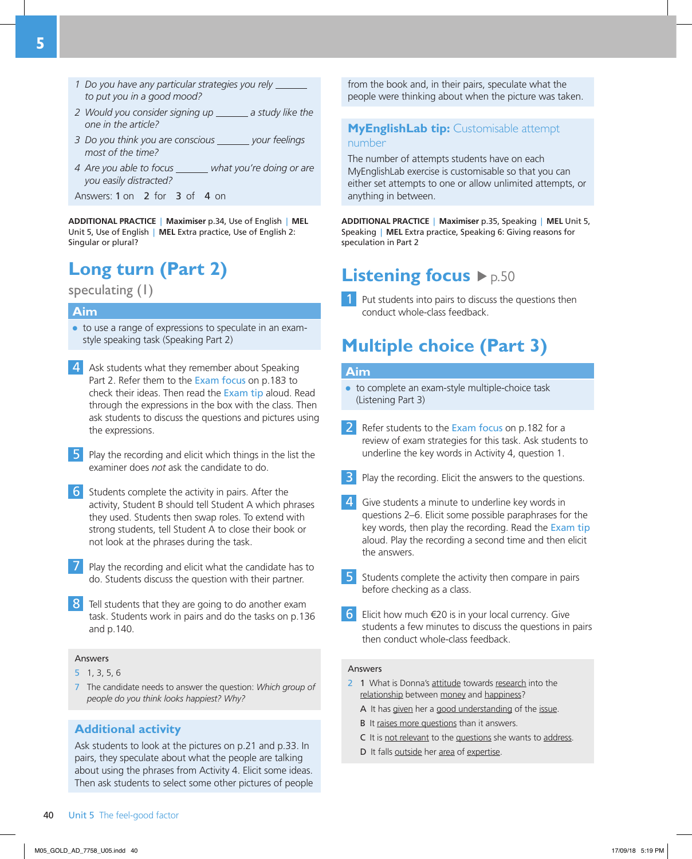- *1 Do you have any particular strategies you rely* *to put you in a good mood?*
- 2 Would you consider signing up \_\_\_\_\_\_ a study like the *one in the article?*
- *3 Do you think you are conscious your feelings most of the time?*
- *4 Are you able to focus**what you're doing or are you easily distracted?*
- Answers: 1 on 2 for 3 of 4 on

**ADDITIONAL PRACTICE** | **Maximiser** p.34, Use of English | **MEL** Unit 5, Use of English | **MEL** Extra practice, Use of English 2: Singular or plural?

### **Long turn (Part 2)**

speculating (1)

#### **Aim**

- to use a range of expressions to speculate in an examstyle speaking task (Speaking Part 2)
- 4 Ask students what they remember about Speaking Part 2. Refer them to the Exam focus on p.183 to check their ideas. Then read the Exam tip aloud. Read through the expressions in the box with the class. Then ask students to discuss the questions and pictures using the expressions.
- 5 Play the recording and elicit which things in the list the examiner does *not* ask the candidate to do.
- 6 Students complete the activity in pairs. After the activity, Student B should tell Student A which phrases they used. Students then swap roles. To extend with strong students, tell Student A to close their book or not look at the phrases during the task.
- 7 Play the recording and elicit what the candidate has to do. Students discuss the question with their partner.
- 8 Tell students that they are going to do another exam task. Students work in pairs and do the tasks on p.136 and p.140.

#### Answers

- 5 1, 3, 5, 6
- 7 The candidate needs to answer the question: *Which group of people do you think looks happiest? Why?*

#### **Additional activity**

Ask students to look at the pictures on p.21 and p.33. In pairs, they speculate about what the people are talking about using the phrases from Activity 4. Elicit some ideas. Then ask students to select some other pictures of people from the book and, in their pairs, speculate what the people were thinking about when the picture was taken.

#### **MyEnglishLab tip:** Customisable attempt number

The number of attempts students have on each MyEnglishLab exercise is customisable so that you can either set attempts to one or allow unlimited attempts, or anything in between.

**ADDITIONAL PRACTICE** | **Maximiser** p.35, Speaking | **MEL** Unit 5, Speaking | **MEL** Extra practice, Speaking 6: Giving reasons for speculation in Part 2

### **Listening focus**  $\rho$ <sub>p.50</sub>

 $\blacksquare$  Put students into pairs to discuss the questions then conduct whole-class feedback.

### **Multiple choice (Part 3)**

#### **Aim**

- to complete an exam-style multiple-choice task (Listening Part 3)
- 2 Refer students to the Exam focus on p.182 for a review of exam strategies for this task. Ask students to underline the key words in Activity 4, question 1.
- 3 Play the recording. Elicit the answers to the questions.
- $\overline{4}$  Give students a minute to underline key words in questions 2–6. Elicit some possible paraphrases for the key words, then play the recording. Read the Exam tip aloud. Play the recording a second time and then elicit the answers.
- 5 Students complete the activity then compare in pairs before checking as a class.
- 6 Elicit how much  $\epsilon$ 20 is in your local currency. Give students a few minutes to discuss the questions in pairs then conduct whole-class feedback.

#### Answers

- 2 1 What is Donna's attitude towards research into the relationship between money and happiness?
	- A It has given her a good understanding of the issue.
	- B It raises more questions than it answers.
	- C It is not relevant to the questions she wants to address.
	- D It falls outside her area of expertise.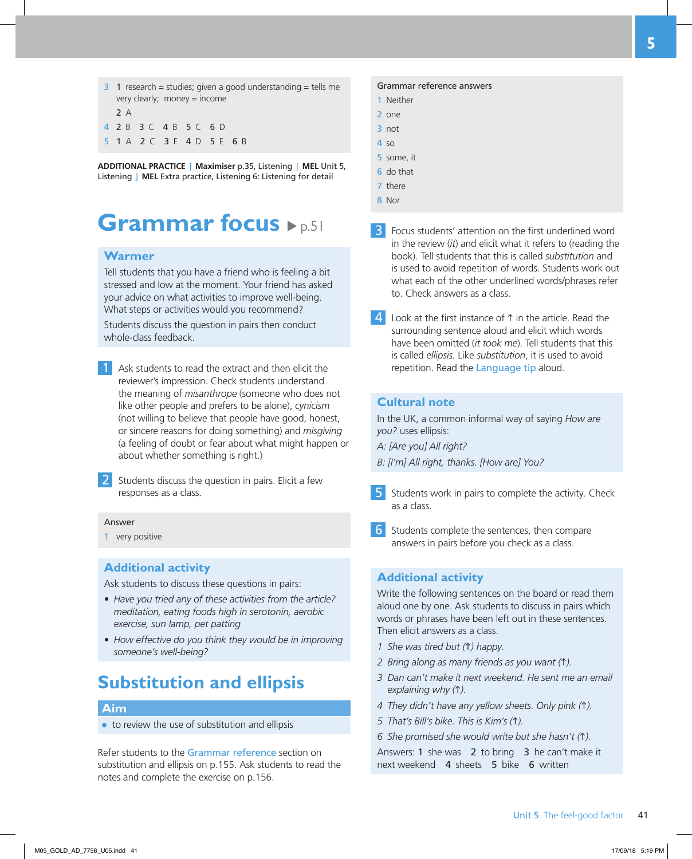$3 \quad 1$  research = studies; given a good understanding = tells me very clearly; money = income  $2A$ 4 2 B 3 C 4 B 5 C 6 D 5 1 A 2 C 3 F 4 D 5 E 6 B

**ADDITIONAL PRACTICE** | **Maximiser** p.35, Listening | **MEL** Unit 5, Listening | **MEL** Extra practice, Listening 6: Listening for detail

### **Grammar focus**  $\rho_{p,51}$

#### **Warmer**

Tell students that you have a friend who is feeling a bit stressed and low at the moment. Your friend has asked your advice on what activities to improve well-being. What steps or activities would you recommend?

Students discuss the question in pairs then conduct whole-class feedback.

Ask students to read the extract and then elicit the reviewer's impression. Check students understand the meaning of *misanthrope* (someone who does not like other people and prefers to be alone), *cynicism*  (not willing to believe that people have good, honest, or sincere reasons for doing something) and *misgiving* (a feeling of doubt or fear about what might happen or about whether something is right.)

2 Students discuss the question in pairs. Elicit a few responses as a class.

#### **Answer**

1 very positive

#### **Additional activity**

Ask students to discuss these questions in pairs:

- *Have you tried any of these activities from the article? meditation, eating foods high in serotonin, aerobic exercise, sun lamp, pet patting*
- *How effective do you think they would be in improving someone's well-being?*

### **Substitution and ellipsis**

#### **Aim**

● to review the use of substitution and ellipsis

Refer students to the Grammar reference section on substitution and ellipsis on p.155. Ask students to read the notes and complete the exercise on p.156.

#### Grammar reference answers

- 1 Neither
- 2 one
- 3 not
- $4$  so
- 5 some, it
- 6 do that
- 7 there
- 8 Nor

**3** Focus students' attention on the first underlined word in the review (*it*) and elicit what it refers to (reading the book). Tell students that this is called *substitution* and is used to avoid repetition of words. Students work out what each of the other underlined words/phrases refer to. Check answers as a class.

 $\overline{4}$  Look at the first instance of  $\uparrow$  in the article. Read the surrounding sentence aloud and elicit which words have been omitted (*it took me*). Tell students that this is called *ellipsis.* Like *substitution*, it is used to avoid repetition. Read the Language tip aloud.

#### **Cultural note**

In the UK, a common informal way of saying *How are you?* uses ellipsis:

- *A: [Are you] All right?*
- *B: [I'm] All right, thanks. [How are] You?*
- 5 Students work in pairs to complete the activity. Check as a class.
- 6 Students complete the sentences, then compare answers in pairs before you check as a class.

#### **Additional activity**

Write the following sentences on the board or read them aloud one by one. Ask students to discuss in pairs which words or phrases have been left out in these sentences. Then elicit answers as a class.

- *1 She was tired but (*h*) happy.*
- *2 Bring along as many friends as you want (*h*).*
- *3 Dan can't make it next weekend. He sent me an email explaining why (*h*).*
- *4 They didn't have any yellow sheets. Only pink (*h*).*
- *5 That's Bill's bike. This is Kim's (*h*).*
- *6 She promised she would write but she hasn't (*h*).*

Answers: 1 she was 2 to bring 3 he can't make it next weekend 4 sheets 5 bike 6 written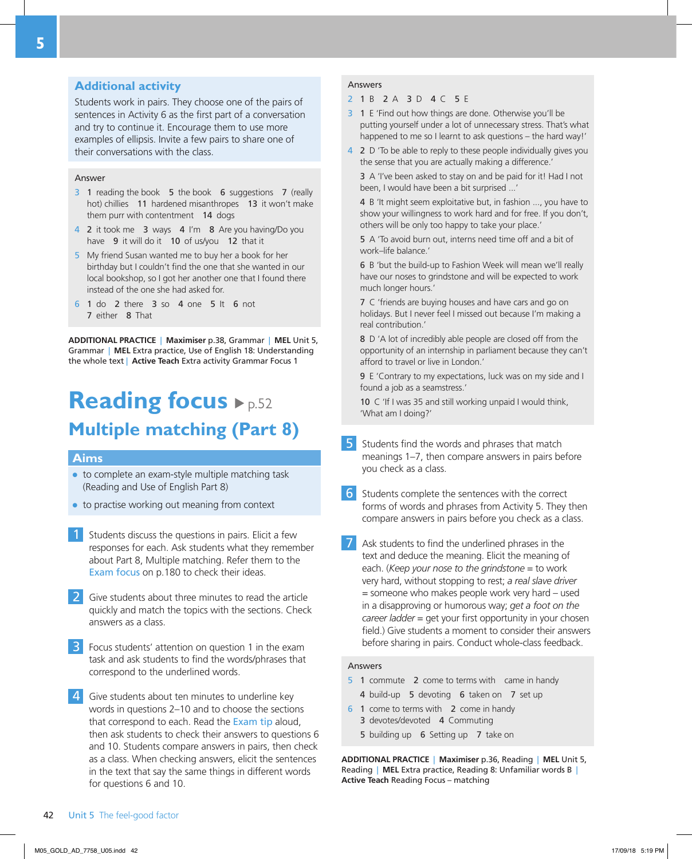#### **Additional activity**

Students work in pairs. They choose one of the pairs of sentences in Activity 6 as the first part of a conversation and try to continue it. Encourage them to use more examples of ellipsis. Invite a few pairs to share one of their conversations with the class.

#### **Answer**

- 3 1 reading the book 5 the book 6 suggestions 7 (really hot) chillies 11 hardened misanthropes 13 it won't make them purr with contentment 14 dogs
- 4 2 it took me 3 ways 4 I'm 8 Are you having/Do you have 9 it will do it 10 of us/vou 12 that it
- 5 My friend Susan wanted me to buy her a book for her birthday but I couldn't find the one that she wanted in our local bookshop, so I got her another one that I found there instead of the one she had asked for.
- 6 1 do 2 there 3 so 4 one 5 It 6 not 7 either 8 That

**ADDITIONAL PRACTICE** | **Maximiser** p.38, Grammar | **MEL** Unit 5, Grammar | **MEL** Extra practice, Use of English 18: Understanding the whole text | **Active Teach** Extra activity Grammar Focus 1

### **Reading focus**  $\blacktriangleright$  p.52 **Multiple matching (Part 8)**

#### **Aims**

- to complete an exam-style multiple matching task (Reading and Use of English Part 8)
- to practise working out meaning from context
- Students discuss the questions in pairs. Elicit a few responses for each. Ask students what they remember about Part 8, Multiple matching. Refer them to the Exam focus on p.180 to check their ideas.
- 2 Give students about three minutes to read the article quickly and match the topics with the sections. Check answers as a class.
- **3** Focus students' attention on question 1 in the exam task and ask students to find the words/phrases that correspond to the underlined words.
- 4 Give students about ten minutes to underline key words in questions 2–10 and to choose the sections that correspond to each. Read the Exam tip aloud, then ask students to check their answers to questions 6 and 10. Students compare answers in pairs, then check as a class. When checking answers, elicit the sentences in the text that say the same things in different words for questions 6 and 10.

#### Answers

#### 2 1 B 2 A 3 D 4 C 5 E

- 3 1 E 'Find out how things are done. Otherwise you'll be putting yourself under a lot of unnecessary stress. That's what happened to me so I learnt to ask questions – the hard way!'
- 4 2 D 'To be able to reply to these people individually gives you the sense that you are actually making a difference.'

3 A 'I've been asked to stay on and be paid for it! Had I not been, I would have been a bit surprised ...'

4 B 'It might seem exploitative but, in fashion ..., you have to show your willingness to work hard and for free. If you don't, others will be only too happy to take your place.'

5 A 'To avoid burn out, interns need time off and a bit of work–life balance.'

6 B 'but the build-up to Fashion Week will mean we'll really have our noses to grindstone and will be expected to work much longer hours.'

7 C 'friends are buying houses and have cars and go on holidays. But I never feel I missed out because I'm making a real contribution.'

8 D 'A lot of incredibly able people are closed off from the opportunity of an internship in parliament because they can't afford to travel or live in London.'

9 E 'Contrary to my expectations, luck was on my side and I found a job as a seamstress.'

10 C 'If I was 35 and still working unpaid I would think, 'What am I doing?'

- 5 Students find the words and phrases that match meanings 1–7, then compare answers in pairs before you check as a class.
- 6 Students complete the sentences with the correct forms of words and phrases from Activity 5. They then compare answers in pairs before you check as a class.
- 7 Ask students to find the underlined phrases in the text and deduce the meaning. Elicit the meaning of each. (*Keep your nose to the grindstone* = to work very hard, without stopping to rest; *a real slave driver* = someone who makes people work very hard – used in a disapproving or humorous way; *get a foot on the career ladder* = get your first opportunity in your chosen field.) Give students a moment to consider their answers before sharing in pairs. Conduct whole-class feedback.

#### **Answers**

- 5 1 commute 2 come to terms with came in handy
	- 4 build-up 5 devoting 6 taken on 7 set up
- 6 1 come to terms with 2 come in handy
	- 3 devotes/devoted 4 Commuting
	- 5 building up 6 Setting up 7 take on

**ADDITIONAL PRACTICE** | **Maximiser** p.36, Reading | **MEL** Unit 5, Reading | **MEL** Extra practice, Reading 8: Unfamiliar words B | **Active Teach** Reading Focus – matching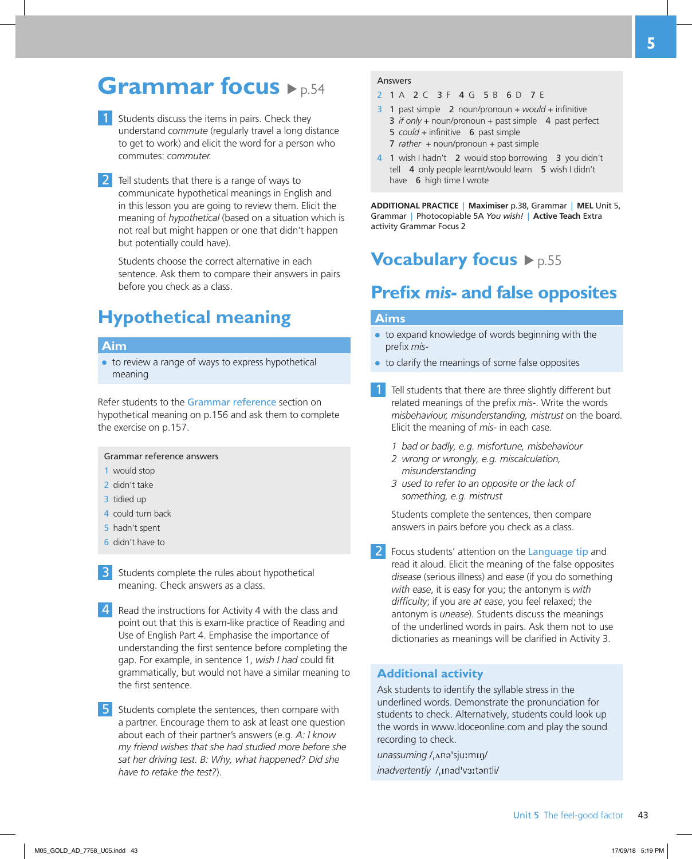### **Grammar focus**  $\rho_{p.54}$

- Students discuss the items in pairs. Check they understand *commute* (regularly travel a long distance to get to work) and elicit the word for a person who commutes: *commuter.*
- 2 Tell students that there is a range of ways to communicate hypothetical meanings in English and in this lesson you are going to review them. Elicit the meaning of *hypothetical* (based on a situation which is not real but might happen or one that didn't happen but potentially could have).

Students choose the correct alternative in each sentence. Ask them to compare their answers in pairs before you check as a class.

### **Hypothetical meaning**

#### **Aim**

● to review a range of ways to express hypothetical meaning

Refer students to the Grammar reference section on hypothetical meaning on p.156 and ask them to complete the exercise on p.157.

#### Grammar reference answers

- 1 would stop
- 2 didn't take
- 3 tidied up
- 4 could turn back
- 5 hadn't spent
- 6 didn't have to
- Students complete the rules about hypothetical meaning. Check answers as a class.
- 4 Read the instructions for Activity 4 with the class and point out that this is exam-like practice of Reading and Use of English Part 4. Emphasise the importance of understanding the first sentence before completing the gap. For example, in sentence 1, *wish I had* could fit grammatically, but would not have a similar meaning to the first sentence.
- 5 Students complete the sentences, then compare with a partner. Encourage them to ask at least one question about each of their partner's answers (e.g. *A: I know my friend wishes that she had studied more before she sat her driving test. B: Why, what happened? Did she have to retake the test?*).

#### Answers

- 2 1 A 2 C 3 F 4 G 5 B 6 D 7 E
- 3 1 past simple 2 noun/pronoun + *would* + infinitive 3 *if only* + noun/pronoun + past simple 4 past perfect 5 *could* + infinitive 6 past simple
	- 7 *rather* + noun/pronoun + past simple
- 4 1 wish I hadn't 2 would stop borrowing 3 you didn't tell 4 only people learnt/would learn 5 wish I didn't have **6** high time I wrote

**ADDITIONAL PRACTICE** | **Maximiser** p.38, Grammar | **MEL** Unit 5, Grammar | Photocopiable 5A *You wish!* | **Active Teach** Extra activity Grammar Focus 2

### **Vocabulary focus**  $\rho$ <sub>p.55</sub>

### **Prefix** *mis***- and false opposites**

#### **Aims**

- to expand knowledge of words beginning with the prefix *mis-*
- to clarify the meanings of some false opposites
- Tell students that there are three slightly different but related meanings of the prefix *mis-*. Write the words *misbehaviour, misunderstanding, mistrust* on the board*.*  Elicit the meaning of *mis-* in each case.
	- *1 bad or badly, e.g. misfortune, misbehaviour*
	- *2 wrong or wrongly, e.g. miscalculation, misunderstanding*
	- *3 used to refer to an opposite or the lack of something, e.g. mistrust*

Students complete the sentences, then compare answers in pairs before you check as a class.

Focus students' attention on the Language tip and read it aloud. Elicit the meaning of the false opposites *disease* (serious illness) and *ease* (if you do something *with ease*, it is easy for you; the antonym is *with difficulty*; if you are *at ease*, you feel relaxed; the antonym is *unease*). Students discuss the meanings of the underlined words in pairs. Ask them not to use dictionaries as meanings will be clarified in Activity 3.

#### **Additional activity**

Ask students to identify the syllable stress in the underlined words. Demonstrate the pronunciation for students to check. Alternatively, students could look up the words in www.ldoceonline.com and play the sound recording to check.

*unassuming* /ˌʌnəˈsjuːmɪŋ/ *inadvertently* /ˌɪnədˈvɜːtəntli/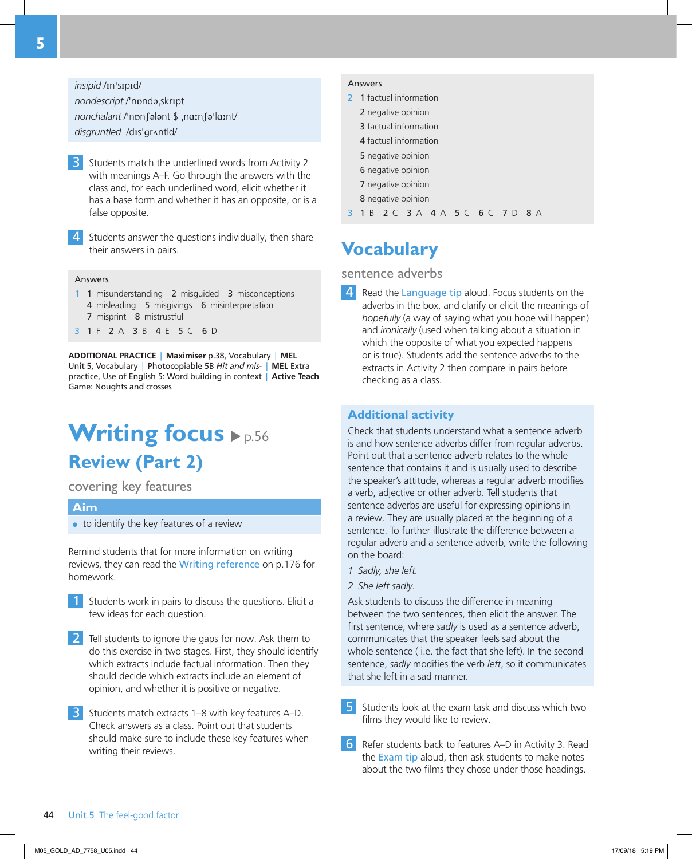*insipid* /ɪnˈsɪpɪd/ *nondescript* /ˈnɒndəˌskrɪpt

*nonchalant* /ˈnɒnʃələnt \$ ˌnɑːnʃəˈlɑːnt/ *disgruntled*  /dɪsˈɡrʌntld/

3 Students match the underlined words from Activity 2 with meanings A–F. Go through the answers with the class and, for each underlined word, elicit whether it has a base form and whether it has an opposite, or is a false opposite.

4 Students answer the questions individually, then share their answers in pairs.

#### **Answers**

- 1 1 misunderstanding 2 misguided 3 misconceptions 4 misleading 5 misgivings 6 misinterpretation 7 misprint 8 mistrustful
- 3 1 F 2 A 3 B 4 E 5 C 6 D

**ADDITIONAL PRACTICE** | **Maximiser** p.38, Vocabulary | **MEL** Unit 5, Vocabulary | Photocopiable 5B *Hit and mis-* | **MEL** Extra practice, Use of English 5: Word building in context | **Active Teach** Game: Noughts and crosses

### **Writing focus**  $\blacktriangleright$  p.56 **Review (Part 2)**

covering key features

#### **Aim**

● to identify the key features of a review

Remind students that for more information on writing reviews, they can read the Writing reference on p.176 for homework.

- 1 Students work in pairs to discuss the questions. Elicit a few ideas for each question.
- 2 Tell students to ignore the gaps for now. Ask them to do this exercise in two stages. First, they should identify which extracts include factual information. Then they should decide which extracts include an element of opinion, and whether it is positive or negative.
- 3 Students match extracts 1–8 with key features A–D. Check answers as a class. Point out that students should make sure to include these key features when writing their reviews.

#### Answers

- 2 1 factual information
	- 2 negative opinion
	- 3 factual information
	- 4 factual information
	- 5 negative opinion
	- 6 negative opinion
	- 7 negative opinion
	- 8 negative opinion

3 1 B 2 C 3 A 4 A 5 C 6 C 7 D 8 A

### **Vocabulary**

#### sentence adverbs

4 Read the Language tip aloud. Focus students on the adverbs in the box, and clarify or elicit the meanings of *hopefully* (a way of saying what you hope will happen) and *ironically* (used when talking about a situation in which the opposite of what you expected happens or is true). Students add the sentence adverbs to the extracts in Activity 2 then compare in pairs before checking as a class.

#### **Additional activity**

Check that students understand what a sentence adverb is and how sentence adverbs differ from regular adverbs. Point out that a sentence adverb relates to the whole sentence that contains it and is usually used to describe the speaker's attitude, whereas a regular adverb modifies a verb, adjective or other adverb. Tell students that sentence adverbs are useful for expressing opinions in a review. They are usually placed at the beginning of a sentence. To further illustrate the difference between a regular adverb and a sentence adverb, write the following on the board:

- *1 Sadly, she left.*
- *2 She left sadly.*

Ask students to discuss the difference in meaning between the two sentences, then elicit the answer. The first sentence, where *sadly* is used as a sentence adverb, communicates that the speaker feels sad about the whole sentence ( i.e. the fact that she left). In the second sentence, *sadly* modifies the verb *left*, so it communicates that she left in a sad manner.

- 5 Students look at the exam task and discuss which two films they would like to review.
- 6 Refer students back to features A–D in Activity 3. Read the **Exam tip** aloud, then ask students to make notes about the two films they chose under those headings.